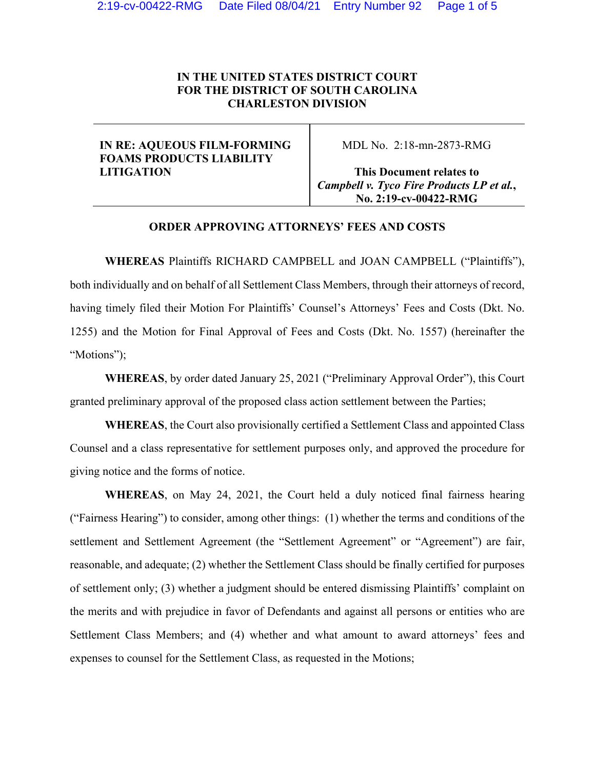# **IN THE UNITED STATES DISTRICT COURT FOR THE DISTRICT OF SOUTH CAROLINA CHARLESTON DIVISION**

# **IN RE: AQUEOUS FILM-FORMING FOAMS PRODUCTS LIABILITY LITIGATION**

MDL No. 2:18-mn-2873-RMG

**This Document relates to** *Campbell v. Tyco Fire Products LP et al.***, No. 2:19-cv-00422-RMG** 

### **ORDER APPROVING ATTORNEYS' FEES AND COSTS**

**WHEREAS** Plaintiffs RICHARD CAMPBELL and JOAN CAMPBELL ("Plaintiffs"), both individually and on behalf of all Settlement Class Members, through their attorneys of record, having timely filed their Motion For Plaintiffs' Counsel's Attorneys' Fees and Costs (Dkt. No. 1255) and the Motion for Final Approval of Fees and Costs (Dkt. No. 1557) (hereinafter the "Motions");

**WHEREAS**, by order dated January 25, 2021 ("Preliminary Approval Order"), this Court granted preliminary approval of the proposed class action settlement between the Parties;

**WHEREAS**, the Court also provisionally certified a Settlement Class and appointed Class Counsel and a class representative for settlement purposes only, and approved the procedure for giving notice and the forms of notice.

**WHEREAS**, on May 24, 2021, the Court held a duly noticed final fairness hearing ("Fairness Hearing") to consider, among other things: (1) whether the terms and conditions of the settlement and Settlement Agreement (the "Settlement Agreement" or "Agreement") are fair, reasonable, and adequate; (2) whether the Settlement Class should be finally certified for purposes of settlement only; (3) whether a judgment should be entered dismissing Plaintiffs' complaint on the merits and with prejudice in favor of Defendants and against all persons or entities who are Settlement Class Members; and (4) whether and what amount to award attorneys' fees and expenses to counsel for the Settlement Class, as requested in the Motions;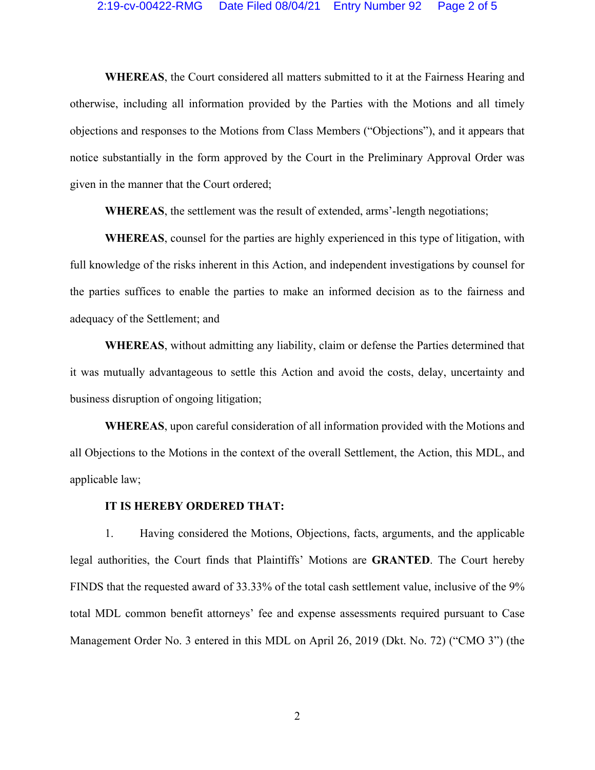### 2:19-cv-00422-RMG Date Filed 08/04/21 Entry Number 92 Page 2 of 5

**WHEREAS**, the Court considered all matters submitted to it at the Fairness Hearing and otherwise, including all information provided by the Parties with the Motions and all timely objections and responses to the Motions from Class Members ("Objections"), and it appears that notice substantially in the form approved by the Court in the Preliminary Approval Order was given in the manner that the Court ordered;

**WHEREAS**, the settlement was the result of extended, arms'-length negotiations;

**WHEREAS**, counsel for the parties are highly experienced in this type of litigation, with full knowledge of the risks inherent in this Action, and independent investigations by counsel for the parties suffices to enable the parties to make an informed decision as to the fairness and adequacy of the Settlement; and

**WHEREAS**, without admitting any liability, claim or defense the Parties determined that it was mutually advantageous to settle this Action and avoid the costs, delay, uncertainty and business disruption of ongoing litigation;

**WHEREAS**, upon careful consideration of all information provided with the Motions and all Objections to the Motions in the context of the overall Settlement, the Action, this MDL, and applicable law;

#### **IT IS HEREBY ORDERED THAT:**

1. Having considered the Motions, Objections, facts, arguments, and the applicable legal authorities, the Court finds that Plaintiffs' Motions are **GRANTED**. The Court hereby FINDS that the requested award of 33.33% of the total cash settlement value, inclusive of the 9% total MDL common benefit attorneys' fee and expense assessments required pursuant to Case Management Order No. 3 entered in this MDL on April 26, 2019 (Dkt. No. 72) ("CMO 3") (the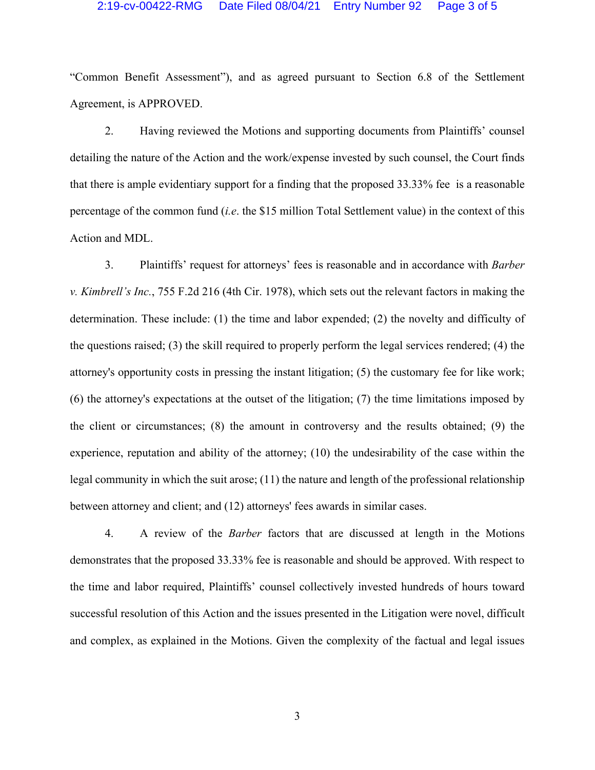### 2:19-cv-00422-RMG Date Filed 08/04/21 Entry Number 92 Page 3 of 5

"Common Benefit Assessment"), and as agreed pursuant to Section 6.8 of the Settlement Agreement, is APPROVED.

2. Having reviewed the Motions and supporting documents from Plaintiffs' counsel detailing the nature of the Action and the work/expense invested by such counsel, the Court finds that there is ample evidentiary support for a finding that the proposed 33.33% fee is a reasonable percentage of the common fund (*i.e*. the \$15 million Total Settlement value) in the context of this Action and MDL.

3. Plaintiffs' request for attorneys' fees is reasonable and in accordance with *Barber v. Kimbrell's Inc.*, 755 F.2d 216 (4th Cir. 1978), which sets out the relevant factors in making the determination. These include: (1) the time and labor expended; (2) the novelty and difficulty of the questions raised; (3) the skill required to properly perform the legal services rendered; (4) the attorney's opportunity costs in pressing the instant litigation; (5) the customary fee for like work; (6) the attorney's expectations at the outset of the litigation; (7) the time limitations imposed by the client or circumstances; (8) the amount in controversy and the results obtained; (9) the experience, reputation and ability of the attorney; (10) the undesirability of the case within the legal community in which the suit arose; (11) the nature and length of the professional relationship between attorney and client; and (12) attorneys' fees awards in similar cases.

4. A review of the *Barber* factors that are discussed at length in the Motions demonstrates that the proposed 33.33% fee is reasonable and should be approved. With respect to the time and labor required, Plaintiffs' counsel collectively invested hundreds of hours toward successful resolution of this Action and the issues presented in the Litigation were novel, difficult and complex, as explained in the Motions. Given the complexity of the factual and legal issues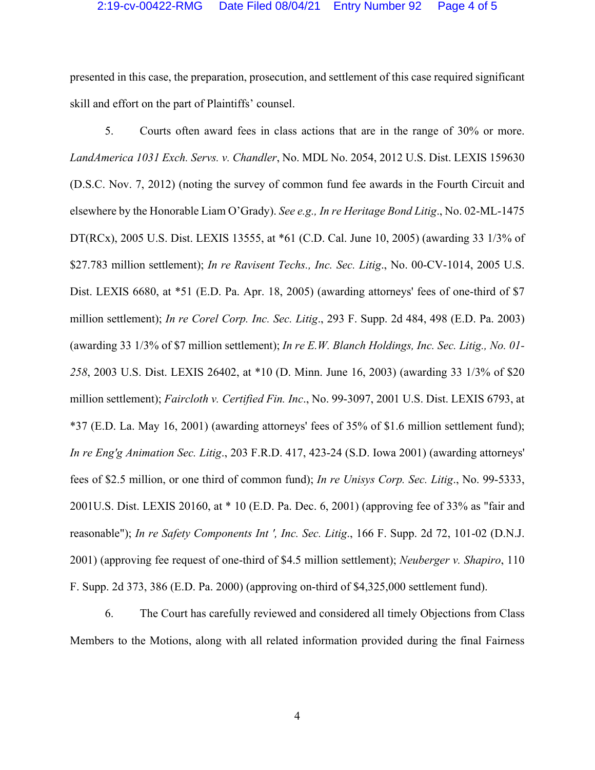presented in this case, the preparation, prosecution, and settlement of this case required significant skill and effort on the part of Plaintiffs' counsel.

5. Courts often award fees in class actions that are in the range of 30% or more. *LandAmerica 1031 Exch. Servs. v. Chandler*, No. MDL No. 2054, 2012 U.S. Dist. LEXIS 159630 (D.S.C. Nov. 7, 2012) (noting the survey of common fund fee awards in the Fourth Circuit and elsewhere by the Honorable Liam O'Grady). *See e.g., In re Heritage Bond Litig*., No. 02-ML-1475 DT(RCx), 2005 U.S. Dist. LEXIS 13555, at \*61 (C.D. Cal. June 10, 2005) (awarding 33 1/3% of \$27.783 million settlement); *In re Ravisent Techs., Inc. Sec. Litig*., No. 00-CV-1014, 2005 U.S. Dist. LEXIS 6680, at \*51 (E.D. Pa. Apr. 18, 2005) (awarding attorneys' fees of one-third of \$7 million settlement); *In re Corel Corp. Inc. Sec. Litig*., 293 F. Supp. 2d 484, 498 (E.D. Pa. 2003) (awarding 33 1/3% of \$7 million settlement); *In re E.W. Blanch Holdings, Inc. Sec. Litig., No. 01- 258*, 2003 U.S. Dist. LEXIS 26402, at \*10 (D. Minn. June 16, 2003) (awarding 33 1/3% of \$20 million settlement); *Faircloth v. Certified Fin. Inc*., No. 99-3097, 2001 U.S. Dist. LEXIS 6793, at \*37 (E.D. La. May 16, 2001) (awarding attorneys' fees of 35% of \$1.6 million settlement fund); *In re Eng'g Animation Sec. Litig*., 203 F.R.D. 417, 423-24 (S.D. Iowa 2001) (awarding attorneys' fees of \$2.5 million, or one third of common fund); *In re Unisys Corp. Sec. Litig*., No. 99-5333, 2001U.S. Dist. LEXIS 20160, at \* 10 (E.D. Pa. Dec. 6, 2001) (approving fee of 33% as "fair and reasonable"); *In re Safety Components Int ', Inc. Sec. Litig*., 166 F. Supp. 2d 72, 101-02 (D.N.J. 2001) (approving fee request of one-third of \$4.5 million settlement); *Neuberger v. Shapiro*, 110 F. Supp. 2d 373, 386 (E.D. Pa. 2000) (approving on-third of \$4,325,000 settlement fund).

6. The Court has carefully reviewed and considered all timely Objections from Class Members to the Motions, along with all related information provided during the final Fairness